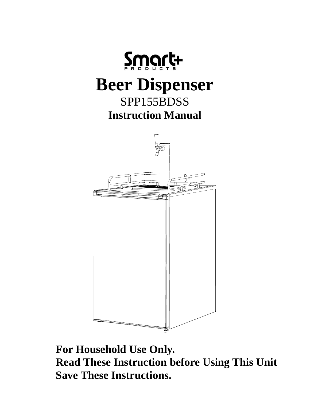



**For Household Use Only. Read These Instruction before Using This Unit Save These Instructions.**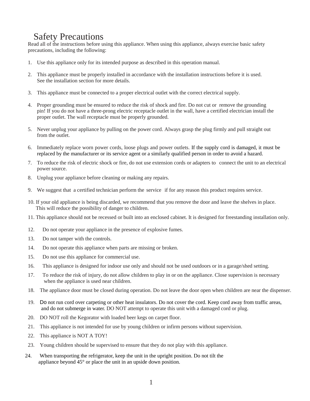## Safety Precautions

Read all of the instructions before using this appliance. When using this appliance, always exercise basic safety precautions, including the following:

- 1. Use this appliance only for its intended purpose as described in this operation manual.
- 2. This appliance must be properly installed in accordance with the installation instructions before it is used. See the installation section for more details.
- 3. This appliance must be connected to a proper electrical outlet with the correct electrical supply.
- 4. Proper grounding must be ensured to reduce the risk of shock and fire. Do not cut or remove the grounding pin! If you do not have a three-prong electric receptacle outlet in the wall, have a certified electrician install the proper outlet. The wall receptacle must be properly grounded.
- 5. Never unplug your appliance by pulling on the power cord. Always grasp the plug firmly and pull straight out from the outlet.
- 6. Immediately replace worn power cords, loose plugs and power outlets. If the supply cord is damaged, it must be replaced by the manufacturer or its service agent or a similarly qualified person in order to avoid a hazard.
- To reduce the risk of electric shock or fire, do not use extension cords or adapters to connect the unit to an electrical 7. power source.
- Unplug your appliance before cleaning or making any repairs. 8.
- We suggest that a certified technician perform the service if for any reason this product requires service. 9.
- 10. If your old appliance is being discarded, we recommend that you remove the door and leave the shelves in place. This will reduce the possibility of danger to children.
- 11. This appliance should not be recessed or built into an enclosed cabinet. It is designed for freestanding installation only.
- 12. Do not operate your appliance in the presence of explosive fumes.
- 13. Do not tamper with the controls.
- 14. Do not operate this appliance when parts are missing or broken.
- 15. Do not use this appliance for commercial use.
- 16. This appliance is designed for indoor use only and should not be used outdoors or in a garage/shed setting.
- 17. To reduce the risk of injury, do not allow children to play in or on the appliance. Close supervision is necessary when the appliance is used near children.
- 18. The appliance door must be closed during operation. Do not leave the door open when children are near the dispenser.
- 19. Do not run cord over carpeting or other heat insulators. Do not cover the cord. Keep cord away from traffic areas, and do not submerge in water. DO NOT attempt to operate this unit with a damaged cord or plug.
- 20. DO NOT roll the Kegorator with loaded beer kegs on carpet floor.
- 21. This appliance is not intended for use by young children or infirm persons without supervision.
- 22. This appliance is NOT A TOY!
- 23. Young children should be supervised to ensure that they do not play with this appliance.
- 24. When transporting the refrigerator, keep the unit in the upright position. Do not tilt the appliance beyond 45° or place the unit in an upside down position.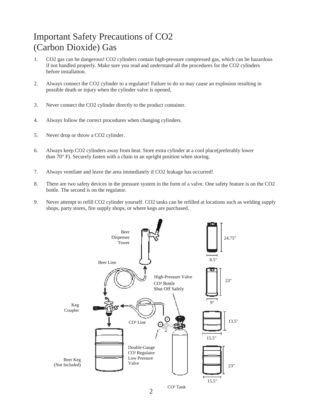## Important Safety Precautions of CO2 (Carbon Dioxide) Gas

- 1. CO2 gas can be dangerous! CO2 cylinders contain high-pressure compressed gas, which can be hazardous if not handled properly. Make sure you read and understand all the procedures for the CO2 cylinders before installation.
- Always connect the CO2 cylinder to a regulator! Failure to do so may cause an explosion resulting in possible death or injury when the cylinder valve is opened, 2.
- Never connect the CO2 cylinder directly to the product container. 3.
- Always follow the correct procedures when changing cylinders. 4.
- Never drop or throw a CO2 cylinder. 5.
- Always keep CO2 cylinders away from heat. Store extra cylinder at a cool place(preferably lower than 70° F). Securely fasten with a chain in an upright position when storing. 6.
- Always ventilate and leave the area immediately if CO2 leakage has occurred! 7.
- There are two safety devices in the pressure system in the form of a valve. One safety feature is on the CO2 bottle. The second is on the regulator. 8.
- Never attempt to refill CO2 cylinder yourself. CO2 tanks can be refilled at locations such as welding supply shops, party stores, fire supply shops, or where kegs are purchased. 9.

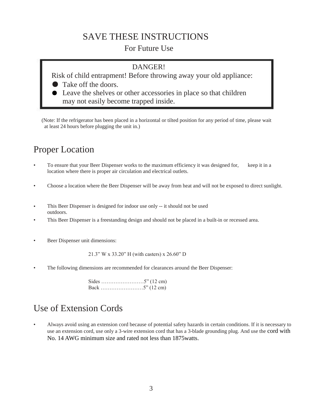# SAVE THESE INSTRUCTIONS

### For Future Use

### DANGER!

Risk of child entrapment! Before throwing away your old appliance:

Take off the doors.

Leave the shelves or other accessories in place so that children may not easily become trapped inside.

(Note: If the refrigerator has been placed in a horizontal or tilted position for any period of time, please wait at least 24 hours before plugging the unit in.)

## Proper Location

- To ensure that your Beer Dispenser works to the maximum efficiency it was designed for, keep it in a location where there is proper air circulation and electrical outlets.
- Choose a location where the Beer Dispenser will be away from heat and will not be exposed to direct sunlight.
- This Beer Dispenser is designed for indoor use only -- it should not be used outdoors.
- This Beer Dispenser is a freestanding design and should not be placed in a built-in or recessed area.
- Beer Dispenser unit dimensions:

21.3" W x 33.20" H (with casters) x 26.60" D

• The following dimensions are recommended for clearances around the Beer Dispenser:

### Use of Extension Cords

• Always avoid using an extension cord because of potential safety hazards in certain conditions. If it is necessary to use an extension cord, use only a 3-wire extension cord that has a 3-blade grounding plug. And use the cord with No. 14 AWG minimum size and rated not less than 1875watts.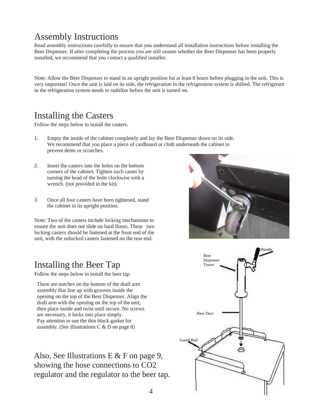# Assembly Instructions

Read assembly instructions carefully to ensure that you understand all installation instructions before installing the Beer Dispenser. If after completing the process you are still unsure whether the Beer Dispenser has been properly installed, we recommend that you contact a qualified installer.

Note: Allow the Beer Dispenser to stand in an upright position for at least 8 hours before plugging in the unit. This is very important! Once the unit is laid on its side, the refrigeration in the refrigeration system is shifted. The refrigerant in the refrigeration system needs to stabilize before the unit is turned on.

### Installing the Casters

Follow the steps below to install the casters.

- 1. Empty the inside of the cabinet completely and lay the Beer Dispenser down on its side. We recommend that you place a piece of cardboard or cloth underneath the cabinet to prevent dents or scratches.
- Insert the casters into the holes on the bottom corners of the cabinet. Tighten each caster by turning the head of the bolts clockwise with a wrench. (not provided in the kit). 2.
- Once all four casters have been tightened, stand the cabinet in its upright position. 3.

Note: Two of the casters include locking mechanisms to ensure the unit does not slide on hard floors. These two locking casters should be fastened at the front end of the unit, with the unlocked casters fastened on the rear end.

# Installing the Beer Tap Dispenser

Follow the steps below to install the beer tap.

There are notches on the bottom of the draft arm assembly that line up with grooves inside the opening on the top of the Beer Dispenser. Align the draft arm with the opening on the top of the unit, then place inside and twist until secure. No screws are necessary, it locks into place simply. Pay attention to use the thin black gasket for assembly. (See Illustrations C & D on page 8)

Also, See Illustrations E & F on page 9, showing the hose connections to CO2 regulator and the regulator to the beer tap.



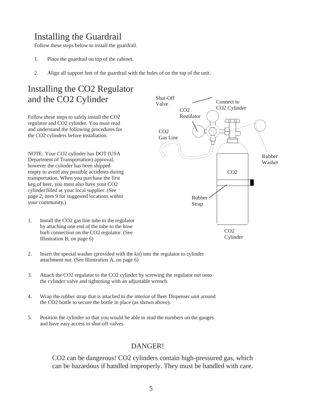## Installing the Guardrail

Follow these steps below to install the guardrail.

- 1. Place the guardrail on top of the cabinet.
- 2. Align all support feet of the guardrail with the holes of on the top of the unit.

### Installing the CO2 Regulator and the CO2 Cylinder

Follow these steps to safely install the CO2 regulator and CO2 cylinder. You must read and understand the following procedures for the CO2 cylinders before installation.

NOTE: Your CO2 cylinder has DOT (USA Department of Transportation) approval, however the cylinder has been shipped empty to avoid any possible accidents during transportation. When you purchase the first keg of beer, you must also have your CO2 cylinderfilled at your local supplier. (See page 2, item 9 for suggested locations within your community.)

- 1. Install the CO2 gas line tube to the regulator by attaching one end of the tube to the hose barb connection on the CO2 regulator. (See Illustration B, on page 6)
- 2. Insert the special washer (provided with the kit) into the regulator to cylinder attachment nut. (See Illustration A, on page 6)
- 3. Attach the CO2 regulator to the CO2 cylinder by screwing the regulator nut onto the cylinder valve and tightening with an adjustable wrench.
- 4. Wrap the rubber strap that is attached to the interior of Beer Dispenser unit around the CO2 bottle to secure the bottle in place (as shown above).
- 5. Position the cylinder so that you would be able to read the numbers on the gauges and have easy access to shut-off valves.

### DANGER!

CO2 can be dangerous! CO2 cylinders contain high-pressured gas, which can be hazardous if handled improperly. They must be handled with care.

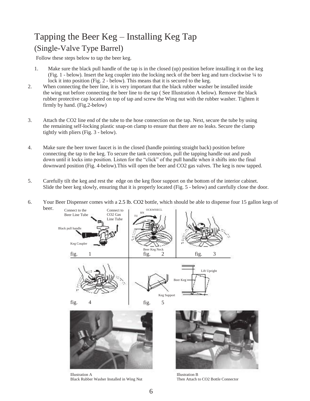# Tapping the Beer Keg – Installing Keg Tap (Single-Valve Type Barrel)

Follow these steps below to tap the beer keg.

6.

- 1. Make sure the black pull handle of the tap is in the closed (up) position before installing it on the keg (Fig. 1 - below). Insert the keg coupler into the locking neck of the beer keg and turn clockwise ¼ to lock it into position (Fig. 2 - below). This means that it is secured to the keg.
- When connecting the beer line, it is very important that the black rubber washer be installed inside the wing nut before connecting the beer line to the tap ( See Illustration A below). Remove the black rubber protective cap located on top of tap and screw the Wing nut with the rubber washer. Tighten it firmly by hand. (Fig.2-below) 2.
- Attach the CO2 line end of the tube to the hose connection on the tap. Next, secure the tube by using the remaining self-locking plastic snap-on clamp to ensure that there are no leaks. Secure the clamp tightly with pliers (Fig. 3 - below). 3.
- Make sure the beer tower faucet is in the closed (handle pointing straight back) position before connecting the tap to the keg. To secure the tank connection, pull the tapping handle out and push down until it locks into position. Listen for the "click" of the pull handle when it shifts into the final downward position (Fig. 4-below).This will open the beer and CO2 gas valves. The keg is now tapped. 4.
- Carefully tilt the keg and rest the edge on the keg floor support on the bottom of the interior cabinet. Slide the beer keg slowly, ensuring that it is properly located (Fig. 5 - below) and carefully close the door. 5.



Illustration A Black Rubber Washer Installed in Wing Nut

Illustration B Then Attach to CO2 Bottle Connector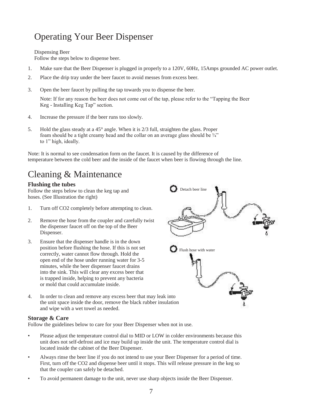# Operating Your Beer Dispenser

Dispensing Beer

Follow the steps below to dispense beer.

- 1. Make sure that the Beer Dispenser is plugged in properly to a 120V, 60Hz, 15Amps grounded AC power outlet.
- 2. Place the drip tray under the beer faucet to avoid messes from excess beer.
- 3. Open the beer faucet by pulling the tap towards you to dispense the beer.

Note: If for any reason the beer does not come out of the tap, please refer to the "Tapping the Beer Keg - Installing Keg Tap" section.

- 4. Increase the pressure if the beer runs too slowly.
- 5. Hold the glass steady at a 45° angle. When it is 2/3 full, straighten the glass. Proper foam should be a tight creamy head and the collar on an average glass should be  $\frac{3}{4}$ " to 1" high, ideally.

Note: It is normal to see condensation form on the faucet. It is caused by the difference of temperature between the cold beer and the inside of the faucet when beer is flowing through the line.

# Cleaning & Maintenance

### **Flushing the tubes**

Follow the steps below to clean the keg tap and hoses. (See Illustration the right)

- 1. Turn off CO2 completely before attempting to clean.
- 2. Remove the hose from the coupler and carefully twist the dispenser faucet off on the top of the Beer Dispenser.
- Ensure that the dispenser handle is in the down position before flushing the hose. If this is not set correctly, water cannot flow through. Hold the open end of the hose under running water for 3-5 minutes, while the beer dispenser faucet drains into the sink. This will clear any excess beer that is trapped inside, helping to prevent any bacteria or mold that could accumulate inside. 3.
- 4. In order to clean and remove any excess beer that may leak into the unit space inside the door, remove the black rubber insulation and wipe with a wet towel as needed.

#### **Storage & Care**

Follow the guidelines below to care for your Beer Dispenser when not in use.

- Please adjust the temperature control dial to MID or LOW in colder environments because this unit does not self-defrost and ice may build up inside the unit. The temperature control dial is located inside the cabinet of the Beer Dispenser.
- Always rinse the beer line if you do not intend to use your Beer Dispenser for a period of time. First, turn off the CO2 and dispense beer until it stops. This will release pressure in the keg so that the coupler can safely be detached. •
- To avoid permanent damage to the unit, never use sharp objects inside the Beer Dispenser.

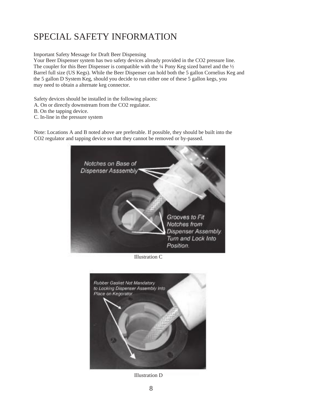# SPECIAL SAFETY INFORMATION

Important Safety Message for Draft Beer Dispensing

Your Beer Dispenser system has two safety devices already provided in the CO2 pressure line. The coupler for this Beer Dispenser is compatible with the ¼ Pony Keg sized barrel and the ½ Barrel full size (US Kegs). While the Beer Dispenser can hold both the 5 gallon Cornelius Keg and the 5 gallon D System Keg, should you decide to run either one of these 5 gallon kegs, you may need to obtain a alternate keg connector.

Safety devices should be installed in the following places:

- A. On or directly downstream from the CO2 regulator.
- B. On the tapping device.
- C. In-line in the pressure system

Note: Locations A and B noted above are preferable. If possible, they should be built into the CO2 regulator and tapping device so that they cannot be removed or by-passed.



Illustration C



Illustration D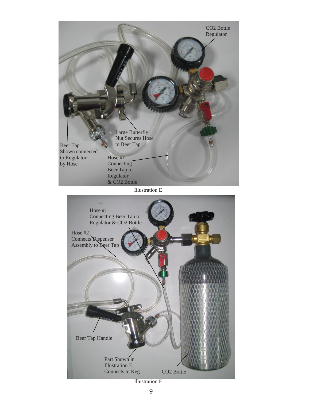

Illustration F